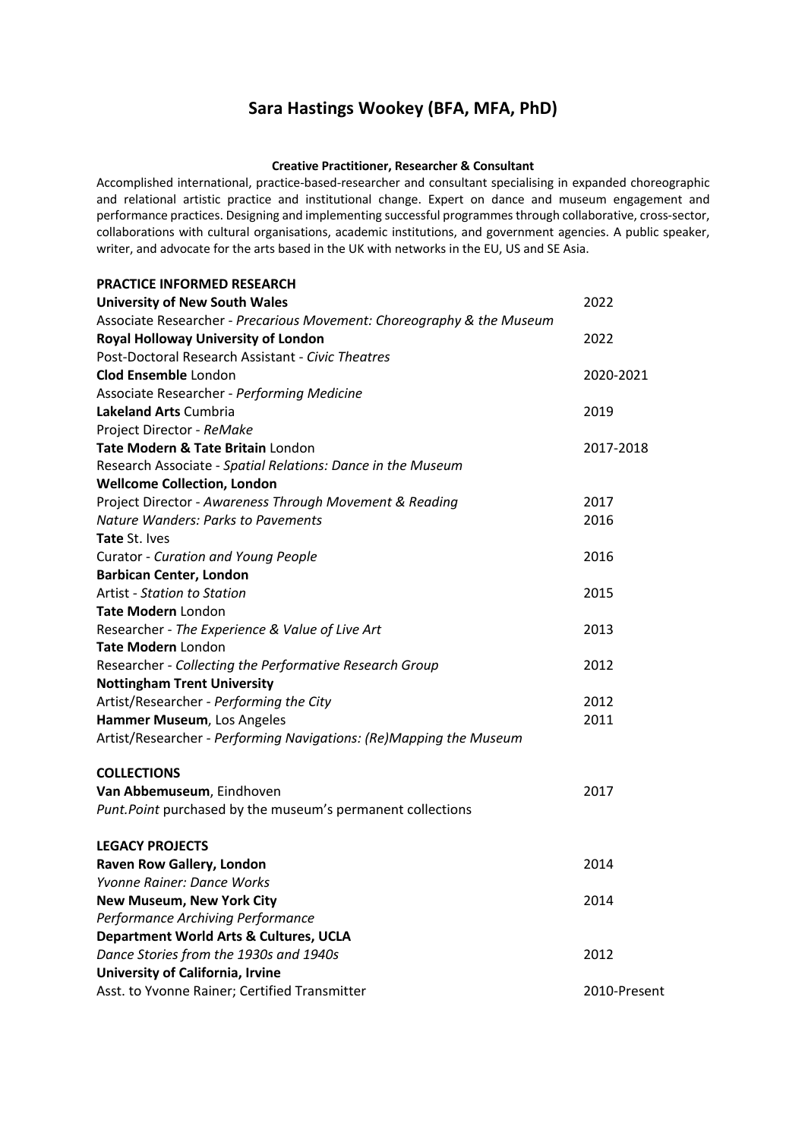# **Sara Hastings Wookey (BFA, MFA, PhD)**

#### **Creative Practitioner, Researcher & Consultant**

Accomplished international, practice-based-researcher and consultant specialising in expanded choreographic and relational artistic practice and institutional change. Expert on dance and museum engagement and performance practices. Designing and implementing successful programmes through collaborative, cross-sector, collaborations with cultural organisations, academic institutions, and government agencies. A public speaker, writer, and advocate for the arts based in the UK with networks in the EU, US and SE Asia.

| <b>PRACTICE INFORMED RESEARCH</b>                                     |           |
|-----------------------------------------------------------------------|-----------|
| <b>University of New South Wales</b>                                  | 2022      |
| Associate Researcher - Precarious Movement: Choreography & the Museum |           |
| Royal Holloway University of London                                   | 2022      |
| Post-Doctoral Research Assistant - Civic Theatres                     |           |
| <b>Clod Ensemble London</b>                                           | 2020-2021 |
| Associate Researcher - Performing Medicine                            |           |
| <b>Lakeland Arts Cumbria</b>                                          | 2019      |
| Project Director - ReMake                                             |           |
| Tate Modern & Tate Britain London                                     | 2017-2018 |
| Research Associate - Spatial Relations: Dance in the Museum           |           |
| <b>Wellcome Collection, London</b>                                    |           |
| Project Director - Awareness Through Movement & Reading               | 2017      |
| <b>Nature Wanders: Parks to Pavements</b>                             | 2016      |
| Tate St. Ives                                                         |           |
| Curator - Curation and Young People                                   | 2016      |
| <b>Barbican Center, London</b>                                        |           |
| <b>Artist - Station to Station</b>                                    | 2015      |
| Tate Modern London                                                    |           |
| Researcher - The Experience & Value of Live Art                       | 2013      |
| <b>Tate Modern</b> London                                             |           |
| Researcher - Collecting the Performative Research Group               | 2012      |
| <b>Nottingham Trent University</b>                                    |           |
| Artist/Researcher - Performing the City                               | 2012      |
| Hammer Museum, Los Angeles                                            | 2011      |
| Artist/Researcher - Performing Navigations: (Re)Mapping the Museum    |           |
| <b>COLLECTIONS</b>                                                    |           |
| Van Abbemuseum, Eindhoven                                             | 2017      |
| Punt. Point purchased by the museum's permanent collections           |           |
| <b>LEGACY PROJECTS</b>                                                |           |
| Raven Row Gallery, London                                             | 2014      |
| Yvonne Rainer: Dance Works                                            |           |
| <b>New Museum, New York City</b>                                      | 2014      |
| Performance Archiving Performance                                     |           |
| Department World Arts & Cultures, UCLA                                |           |
| Dance Stories from the 1930s and 1940s                                | 2012      |
| University of California, Irvine                                      |           |

Asst. to Yvonne Rainer; Certified Transmitter 2010-Present 2010-Present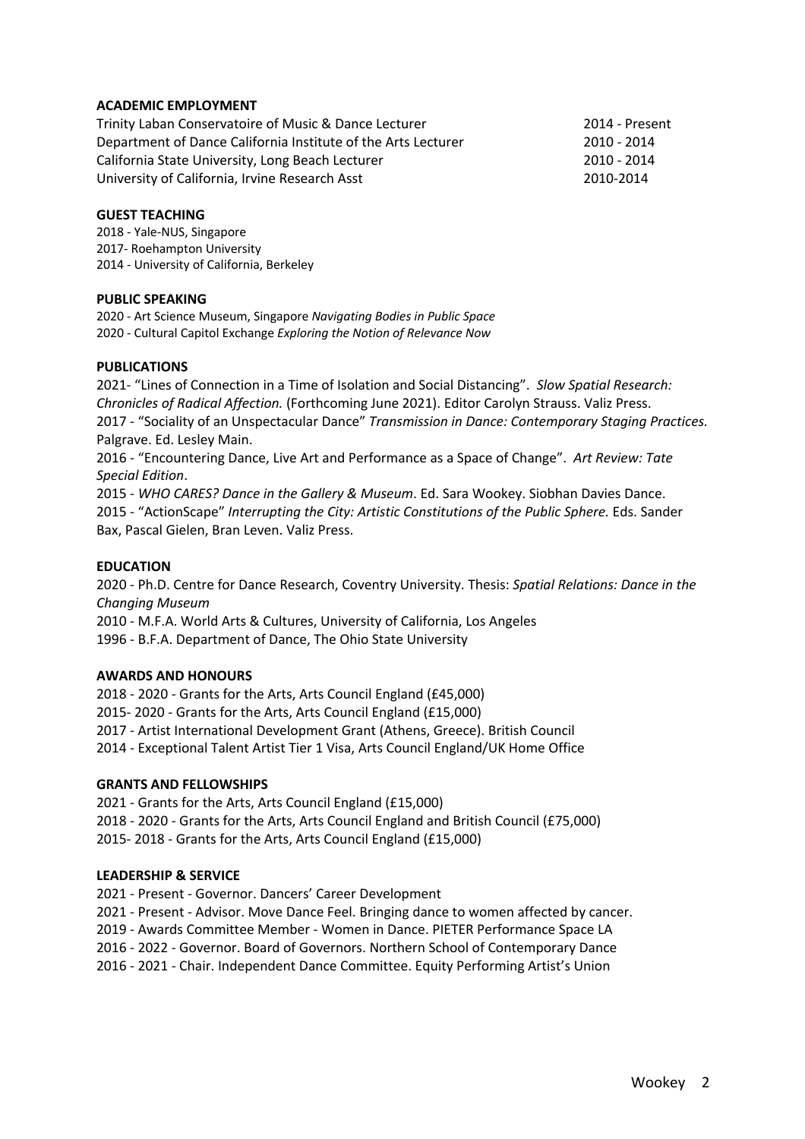# **ACADEMIC EMPLOYMENT**

Trinity Laban Conservatoire of Music & Dance Lecturer 2014 - Present Department of Dance California Institute of the Arts Lecturer 2010 - 2014 California State University, Long Beach Lecturer 2010 - 2010 - 2014 University of California, Irvine Research Asst 2010-2014

#### **GUEST TEACHING**

2018 - Yale-NUS, Singapore 2017- Roehampton University 2014 - University of California, Berkeley

## **PUBLIC SPEAKING**

2020 - Art Science Museum, Singapore *Navigating Bodies in Public Space* 2020 - Cultural Capitol Exchange *Exploring the Notion of Relevance Now*

#### **PUBLICATIONS**

2021- "Lines of Connection in a Time of Isolation and Social Distancing". *Slow Spatial Research: Chronicles of Radical Affection.* (Forthcoming June 2021). Editor Carolyn Strauss. Valiz Press. 2017 - "Sociality of an Unspectacular Dance" *Transmission in Dance: Contemporary Staging Practices.*  Palgrave. Ed. Lesley Main.

2016 - "Encountering Dance, Live Art and Performance as a Space of Change". *Art Review: Tate Special Edition*.

2015 - *WHO CARES? Dance in the Gallery & Museum*. Ed. Sara Wookey. Siobhan Davies Dance. 2015 - "ActionScape" *Interrupting the City: Artistic Constitutions of the Public Sphere.* Eds. Sander Bax, Pascal Gielen, Bran Leven. Valiz Press.

#### **EDUCATION**

2020 - Ph.D. Centre for Dance Research, Coventry University. Thesis: *Spatial Relations: Dance in the Changing Museum*

2010 - M.F.A. World Arts & Cultures, University of California, Los Angeles

1996 - B.F.A. Department of Dance, The Ohio State University

## **AWARDS AND HONOURS**

2018 - 2020 - Grants for the Arts, Arts Council England (£45,000) 2015- 2020 - Grants for the Arts, Arts Council England (£15,000) 2017 - Artist International Development Grant (Athens, Greece). British Council 2014 - Exceptional Talent Artist Tier 1 Visa, Arts Council England/UK Home Office

## **GRANTS AND FELLOWSHIPS**

2021 - Grants for the Arts, Arts Council England (£15,000) 2018 - 2020 - Grants for the Arts, Arts Council England and British Council (£75,000) 2015- 2018 - Grants for the Arts, Arts Council England (£15,000)

## **LEADERSHIP & SERVICE**

2021 - Present - Governor. Dancers' Career Development

2021 - Present - Advisor. Move Dance Feel. Bringing dance to women affected by cancer.

2019 - Awards Committee Member - Women in Dance. PIETER Performance Space LA

2016 - 2022 - Governor. Board of Governors. Northern School of Contemporary Dance

2016 - 2021 - Chair. Independent Dance Committee. Equity Performing Artist's Union